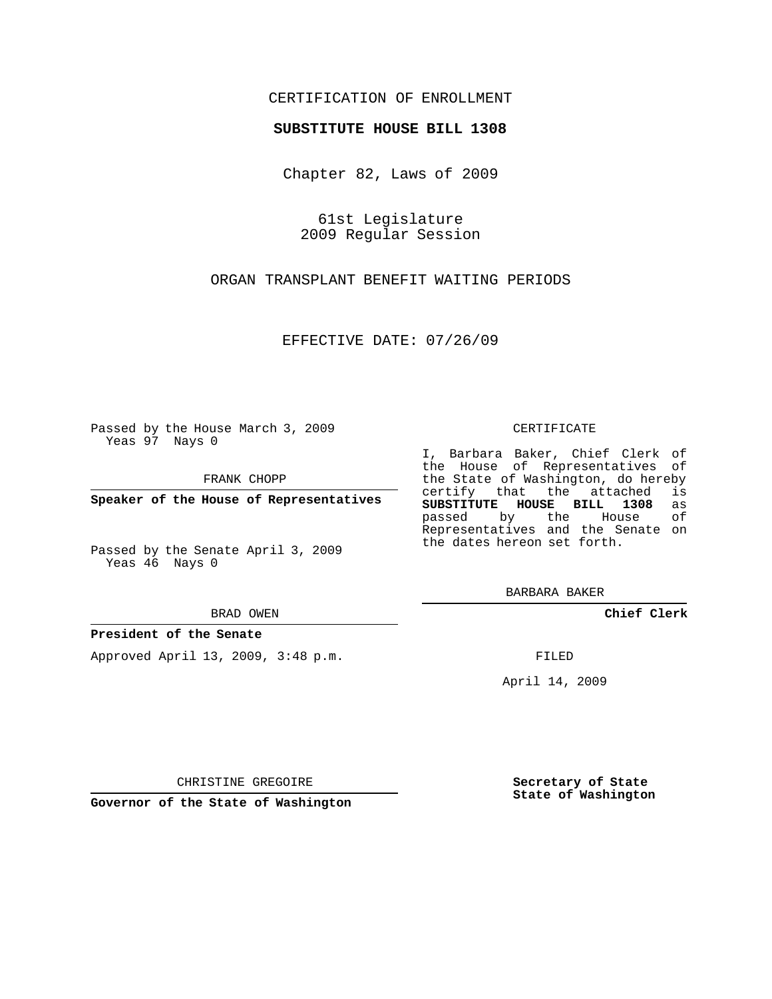### CERTIFICATION OF ENROLLMENT

#### **SUBSTITUTE HOUSE BILL 1308**

Chapter 82, Laws of 2009

61st Legislature 2009 Regular Session

ORGAN TRANSPLANT BENEFIT WAITING PERIODS

EFFECTIVE DATE: 07/26/09

Passed by the House March 3, 2009 Yeas 97 Nays 0

FRANK CHOPP

**Speaker of the House of Representatives**

Passed by the Senate April 3, 2009 Yeas 46 Nays 0

BRAD OWEN

#### **President of the Senate**

Approved April 13, 2009, 3:48 p.m.

CERTIFICATE

I, Barbara Baker, Chief Clerk of the House of Representatives of the State of Washington, do hereby<br>certify that the attached is certify that the attached **SUBSTITUTE HOUSE BILL 1308** as passed by the Representatives and the Senate on the dates hereon set forth.

BARBARA BAKER

**Chief Clerk**

FILED

April 14, 2009

**Secretary of State State of Washington**

CHRISTINE GREGOIRE

**Governor of the State of Washington**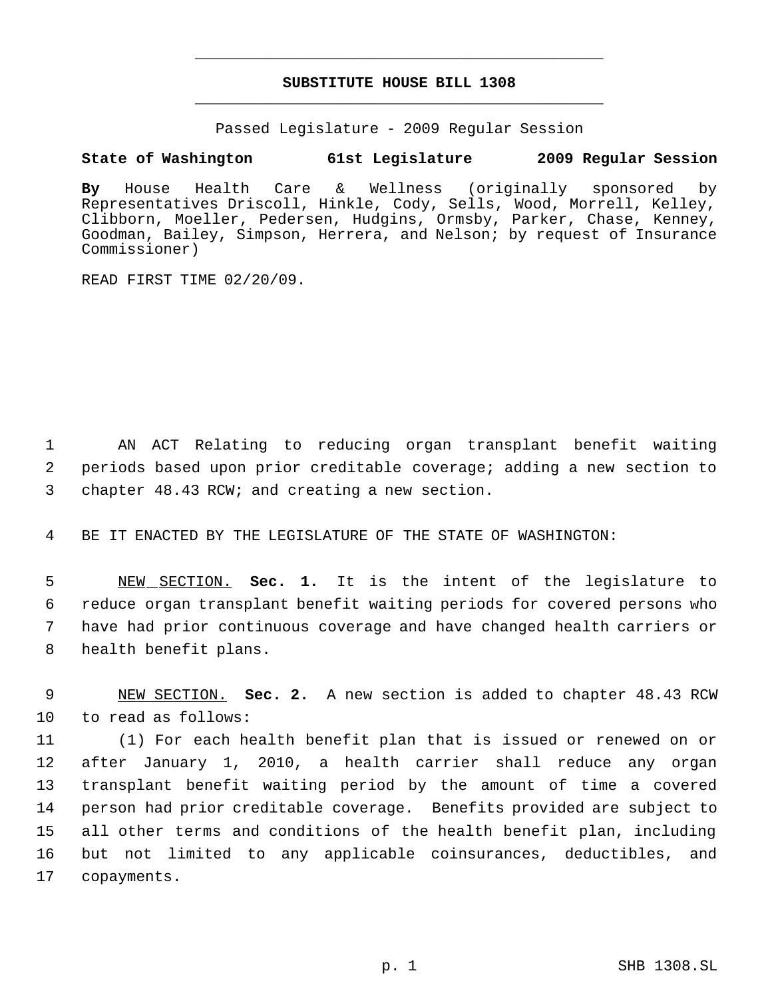# **SUBSTITUTE HOUSE BILL 1308** \_\_\_\_\_\_\_\_\_\_\_\_\_\_\_\_\_\_\_\_\_\_\_\_\_\_\_\_\_\_\_\_\_\_\_\_\_\_\_\_\_\_\_\_\_

\_\_\_\_\_\_\_\_\_\_\_\_\_\_\_\_\_\_\_\_\_\_\_\_\_\_\_\_\_\_\_\_\_\_\_\_\_\_\_\_\_\_\_\_\_

Passed Legislature - 2009 Regular Session

## **State of Washington 61st Legislature 2009 Regular Session**

**By** House Health Care & Wellness (originally sponsored by Representatives Driscoll, Hinkle, Cody, Sells, Wood, Morrell, Kelley, Clibborn, Moeller, Pedersen, Hudgins, Ormsby, Parker, Chase, Kenney, Goodman, Bailey, Simpson, Herrera, and Nelson; by request of Insurance Commissioner)

READ FIRST TIME 02/20/09.

 1 AN ACT Relating to reducing organ transplant benefit waiting 2 periods based upon prior creditable coverage; adding a new section to 3 chapter 48.43 RCW; and creating a new section.

4 BE IT ENACTED BY THE LEGISLATURE OF THE STATE OF WASHINGTON:

 NEW SECTION. **Sec. 1.** It is the intent of the legislature to reduce organ transplant benefit waiting periods for covered persons who have had prior continuous coverage and have changed health carriers or health benefit plans.

 9 NEW SECTION. **Sec. 2.** A new section is added to chapter 48.43 RCW 10 to read as follows:

 (1) For each health benefit plan that is issued or renewed on or after January 1, 2010, a health carrier shall reduce any organ transplant benefit waiting period by the amount of time a covered person had prior creditable coverage. Benefits provided are subject to all other terms and conditions of the health benefit plan, including but not limited to any applicable coinsurances, deductibles, and copayments.